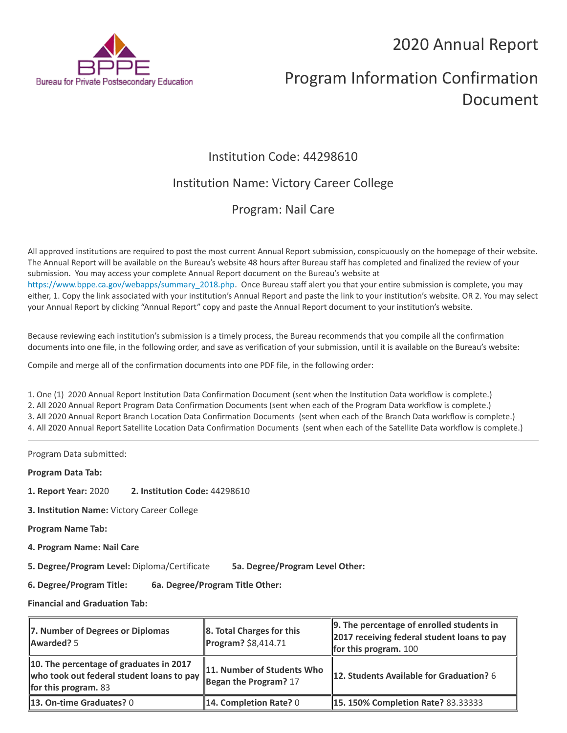## 2020 Annual Report



# Program Information Confirmation Document

## Institution Code: 44298610

## Institution Name: Victory Career College

## Program: Nail Care

All approved institutions are required to post the most current Annual Report submission, conspicuously on the homepage of their website. The Annual Report will be available on the Bureau's website 48 hours after Bureau staff has completed and finalized the review of your submission. You may access your complete Annual Report document on the Bureau's website at [https://www.bppe.ca.gov/webapps/summary\\_2018.php.](https://www.bppe.ca.gov/webapps/summary_2018.php) Once Bureau staff alert you that your entire submission is complete, you may either, 1. Copy the link associated with your institution's Annual Report and paste the link to your institution's website. OR 2. You may select your Annual Report by clicking "Annual Report" copy and paste the Annual Report document to your institution's website.

Because reviewing each institution's submission is a timely process, the Bureau recommends that you compile all the confirmation documents into one file, in the following order, and save as verification of your submission, until it is available on the Bureau's website:

Compile and merge all of the confirmation documents into one PDF file, in the following order:

1. One (1) 2020 Annual Report Institution Data Confirmation Document (sent when the Institution Data workflow is complete.) 2. All 2020 Annual Report Program Data Confirmation Documents (sent when each of the Program Data workflow is complete.) 3. All 2020 Annual Report Branch Location Data Confirmation Documents (sent when each of the Branch Data workflow is complete.) 4. All 2020 Annual Report Satellite Location Data Confirmation Documents (sent when each of the Satellite Data workflow is complete.)

Program Data submitted:

**Program Data Tab:**

- **1. Report Year:** 2020 **2. Institution Code:** 44298610
- **3. Institution Name:** Victory Career College

**Program Name Tab:**

**4. Program Name: Nail Care** 

**5. Degree/Program Level:** Diploma/Certificate **5a. Degree/Program Level Other:**

**6. Degree/Program Title: 6a. Degree/Program Title Other:**

**Financial and Graduation Tab:**

| 7. Number of Degrees or Diplomas<br>Awarded? 5                                                                      | $\ 8.$ Total Charges for this<br>Program? \$8,414.71 | $\parallel$ 9. The percentage of enrolled students in<br>2017 receiving federal student loans to pay<br>for this program. $100$ |
|---------------------------------------------------------------------------------------------------------------------|------------------------------------------------------|---------------------------------------------------------------------------------------------------------------------------------|
| 10. The percentage of graduates in 2017<br>who took out federal student loans to pay<br><b>for this program.</b> 83 | 11. Number of Students Who<br>Began the Program? 17  | 12. Students Available for Graduation? 6                                                                                        |
| 13. On-time Graduates? 0                                                                                            | <b>14. Completion Rate?</b> 0                        | <b>15. 150% Completion Rate? 83.33333</b>                                                                                       |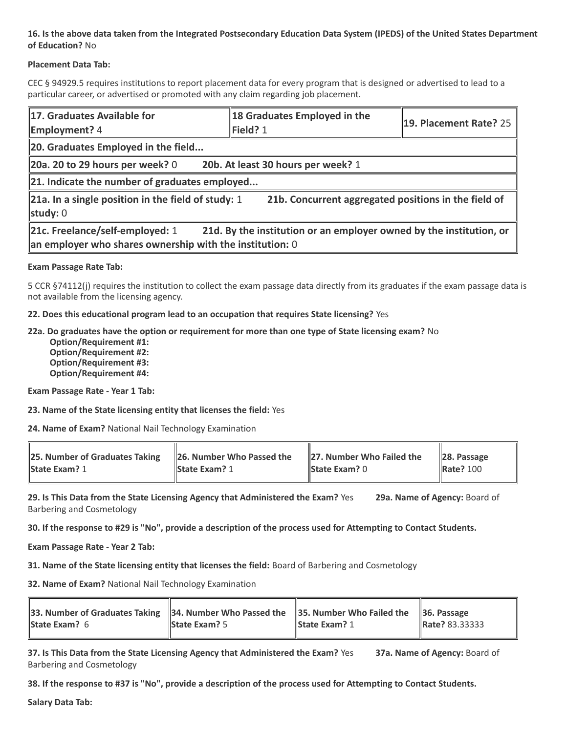#### **16. Is the above data taken from the Integrated Postsecondary Education Data System (IPEDS) of the United States Department of Education?** No

#### **Placement Data Tab:**

CEC § 94929.5 requires institutions to report placement data for every program that is designed or advertised to lead to a particular career, or advertised or promoted with any claim regarding job placement.

| 17. Graduates Available for<br><b>Employment?</b> 4                                                                                                                  | 18 Graduates Employed in the<br>Field? 1 | 19. Placement Rate? 25 |  |  |
|----------------------------------------------------------------------------------------------------------------------------------------------------------------------|------------------------------------------|------------------------|--|--|
| 20. Graduates Employed in the field                                                                                                                                  |                                          |                        |  |  |
| 20b. At least 30 hours per week? 1<br>20a. 20 to 29 hours per week? $0$                                                                                              |                                          |                        |  |  |
| $\ $ 21. Indicate the number of graduates employed                                                                                                                   |                                          |                        |  |  |
| 21b. Concurrent aggregated positions in the field of<br>21a. In a single position in the field of study: 1<br>study: $0$                                             |                                          |                        |  |  |
| 21d. By the institution or an employer owned by the institution, or<br>21c. Freelance/self-employed: 1<br>an employer who shares ownership with the institution: $0$ |                                          |                        |  |  |

#### **Exam Passage Rate Tab:**

5 CCR §74112(j) requires the institution to collect the exam passage data directly from its graduates if the exam passage data is not available from the licensing agency.

**22. Does this educational program lead to an occupation that requires State licensing?** Yes

#### **22a. Do graduates have the option or requirement for more than one type of State licensing exam?** No

 **Option/Requirement #1: Option/Requirement #2: Option/Requirement #3: Option/Requirement #4:**

**Exam Passage Rate - Year 1 Tab:**

**23. Name of the State licensing entity that licenses the field:** Yes

**24. Name of Exam?** National Nail Technology Examination

| 25. Number of Graduates Taking | $\parallel$ 26. Number Who Passed the | $\parallel$ 27. Number Who Failed the | $\ $ 28. Passage |
|--------------------------------|---------------------------------------|---------------------------------------|------------------|
| <b>State Exam? 1</b>           | <b>State Exam? 1</b>                  | <b>State Exam?</b> $0$                | <b>Rate? 100</b> |
|                                |                                       |                                       |                  |

**29. Is This Data from the State Licensing Agency that Administered the Exam?** Yes **29a. Name of Agency:** Board of Barbering and Cosmetology

**30. If the response to #29 is "No", provide a description of the process used for Attempting to Contact Students.**

**Exam Passage Rate - Year 2 Tab:**

**31. Name of the State licensing entity that licenses the field:** Board of Barbering and Cosmetology

**32. Name of Exam?** National Nail Technology Examination

| 33. Number of Graduates Taking 34. Number Who Passed the 35. Number Who Failed the 36. Passage<br><b>State Exam?</b> 6 | <b>State Exam?</b> 5 | <b>State Exam?</b> 1 | <b>Rate?</b> 83.33333 |
|------------------------------------------------------------------------------------------------------------------------|----------------------|----------------------|-----------------------|
|                                                                                                                        |                      |                      |                       |

**37. Is This Data from the State Licensing Agency that Administered the Exam?** Yes **37a. Name of Agency:** Board of Barbering and Cosmetology

**38. If the response to #37 is "No", provide a description of the process used for Attempting to Contact Students.** 

**Salary Data Tab:**